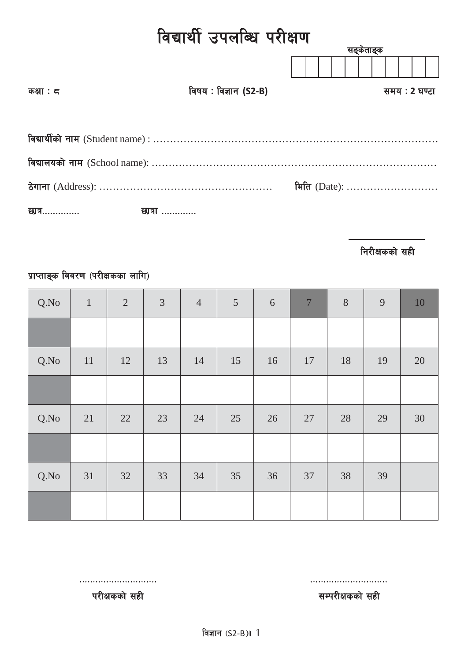# विद्यार्थी उपलब्धि परीक्षण

|            |                       | सङ्केताङ्क    |
|------------|-----------------------|---------------|
|            |                       |               |
| कक्षा : द  | विषय : विज्ञान (S2-B) | समय : 2 घण्टा |
|            |                       |               |
|            |                       |               |
|            |                       |               |
|            |                       |               |
|            |                       | मिति (Date):  |
| छात्र…………. | छात्रा                |               |

निरीक्षकको सही

# प्राप्ताङ्क विवरण (परीक्षकका लागि)

| Q.No | $\mathbf{1}$ | $\sqrt{2}$ | $\mathfrak{Z}$ | $\overline{4}$ | 5  | 6  | $\boldsymbol{7}$ | $8\,$ | $\overline{9}$ | 10 |
|------|--------------|------------|----------------|----------------|----|----|------------------|-------|----------------|----|
|      |              |            |                |                |    |    |                  |       |                |    |
| Q.No | 11           | 12         | 13             | 14             | 15 | 16 | 17               | 18    | 19             | 20 |
|      |              |            |                |                |    |    |                  |       |                |    |
| Q.No | 21           | 22         | 23             | 24             | 25 | 26 | 27               | 28    | 29             | 30 |
|      |              |            |                |                |    |    |                  |       |                |    |
| Q.No | 31           | 32         | 33             | 34             | 35 | 36 | 37               | 38    | 39             |    |
|      |              |            |                |                |    |    |                  |       |                |    |

परीक्षकको सही<br>परीक्षकको सही

============================= =============================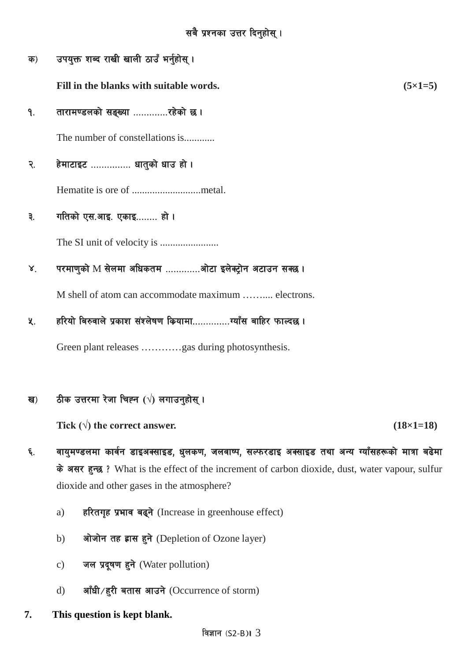उपयुक्त शब्द राखी खाली ठाउँ भर्नुहोस् । क)

Fill in the blanks with suitable words.

तारामण्डलको सङ्ख्या .............रहेको छ। ۹.

The number of constellations is...........

- हेमाटाइट .............. धातुको धाउ हो । २.
- गतिको एस.आइ. एकाइ........ हो । ३.

परमाणुको M सेलमा अधिकतम ..............ओटा इलेक्ट्रोन अटाउन सक्छ।  $\mathsf{X}^{\mathsf{I}}$ 

M shell of atom can accommodate maximum .......... electrons.

हरियो बिरुवाले प्रकाश संश्लेषण कियामा................ग्याँस बाहिर फाल्दछ ।  $\lambda$ .

Green plant releases .............gas during photosynthesis.

#### ठीक उत्तरमा रेजा चिह्न (√) लगाउन्होस् । ख)

Tick  $(\sqrt{})$  the correct answer.

 $(18\times1=18)$ 

 $(5\times1=5)$ 

- वायुमण्डलमा कार्वन डाइअक्साइड, धुलकण, जलवाष्प, सल्फरडाइ अक्साइड तथा अन्य ग्याँसहरूको मात्रा बढेमा ६. के असर हुन्छ ? What is the effect of the increment of carbon dioxide, dust, water vapour, sulfur dioxide and other gases in the atmosphere?
	- हरितगृह प्रभाव बढ्ने (Increase in greenhouse effect) a)
	- ओजोन तह ह्रास हुने (Depletion of Ozone layer)  $b)$
	- जल प्रदूषण हुने (Water pollution)  $\mathbf{c})$
	- आँधी/हुरी बतास आउने (Occurrence of storm)  $\mathbf{d}$
- 7. This question is kept blank.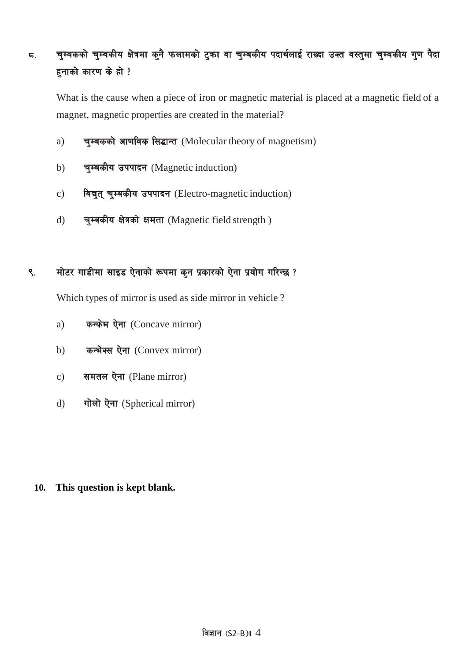# ८. वुम्बकको चुम्बकीय क्षेत्रमा कुनै फलामको टुका वा चुम्बकीय पदार्थलाई राख्दा उक्त वस्तुमा चुम्बकीय गुण पैदा हुनाको कारण के हो ?

What is the cause when a piece of iron or magnetic material is placed at a magnetic field of a magnet, magnetic properties are created in the material?

- a) चुम्बकको आणविक सिद्धान्त (Molecular theory of magnetism)
- b) चम्बकीय उपपादन (Magnetic induction)
- c) विद्युत् चुम्बकीय उपपादन (Electro-magnetic induction)
- d) चम्बकीय क्षेत्रको क्षमता (Magnetic field strength)

# ९. मोटर गाडीमा साइड ऐनाको रूपमा कुन प्रकारको ऐना प्रयोग गरिन्छ ?

Which types of mirror is used as side mirror in vehicle ?

- a) कन्केभ ऐना (Concave mirror)
- b) कन्भेक्स ऐना (Convex mirror)
- c) समतल ऐना (Plane mirror)
- d) गोलो ऐना (Spherical mirror)

#### **10. This question is kept blank.**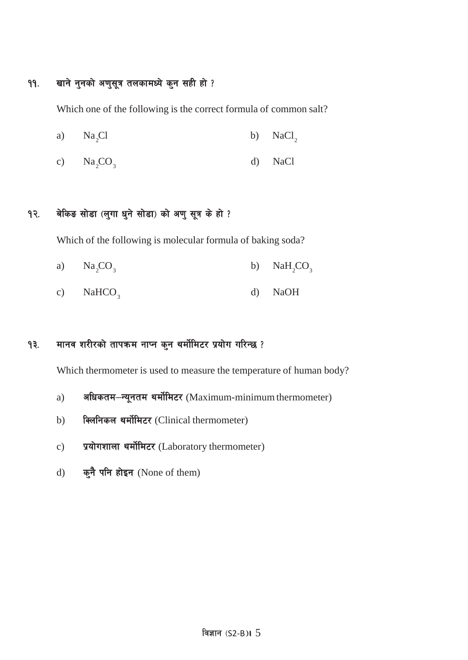# ११. खाने नुनको अणुसूत्र तलकामध्ये कुन सही हो ?

Which one of the following is the correct formula of common salt?

- a)  $Na_2Cl$  b)  $NaCl_2$
- c)  $\text{Na}_2\text{CO}_3$  d)  $\text{NaCl}$

## १२. बेकिङ सोडा (लुगा धुने सोडा) को अणु सूत्र के हो ?

Which of the following is molecular formula of baking soda?

- a)  $\text{Na}_2\text{CO}_3$  b)  $\text{NaH}_2\text{CO}_3$
- c) NaHCO<sub>3</sub> d) NaOH

# १३. मानव शरीरको तापक्रम नाप्न कुन थर्मोमिटर प्रयोग गरिन्छ ?

Which thermometer is used to measure the temperature of human body?

- a) अधिकतम-न्यूनतम थर्मोमिटर (Maximum-minimum thermometer)
- b) विलनिकल थर्मोमिटर (Clinical thermometer)
- c) प्रयोगशाला थर्मोमिटर (Laboratory thermometer)
- d) कुनै पनि होइन (None of them)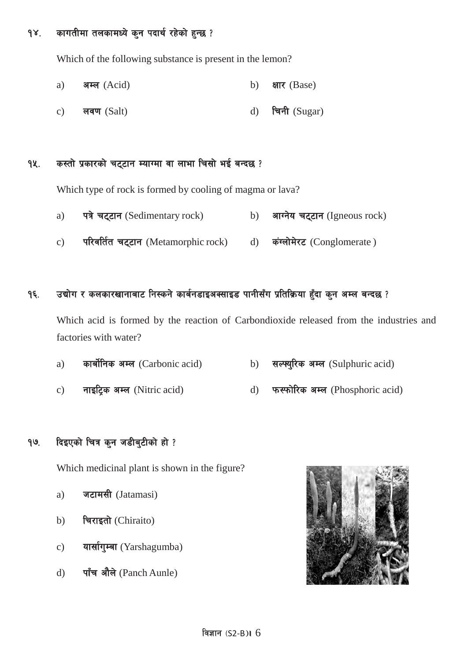### १४. कागतीमा तलकामध्ये कुन पदार्थ रहेको हुन्छ ?

Which of the following substance is present in the lemon?

- a) अम्ल  $(Acid)$  b) क्षार  $(Base)$ c) लवण (Salt) d) चिनी (Sugar)
- १५. कस्तो प्रकारको चट्टान म्याग्मा वा लाभा चिसो भई बन्दछ ?

Which type of rock is formed by cooling of magma or lava?

- a) पत्रे चट्टान (Sedimentary rock) b) आग्नेय चट्टान (Igneous rock)
- c) परिवर्तित चट्टान (Metamorphic rock) d) कंग्लोमेरट (Conglomerate)

#### १६. उद्योग र कलकारखानाबाट निस्कने कार्बनडाइअक्साइड पानीसँग प्रतिक्रिया हुँदा कुन अम्ल बन्दछ ?

Which acid is formed by the reaction of Carbondioxide released from the industries and factories with water?

- a) कार्बोनिक अम्ल (Carbonic acid) b) सल्फ्युरिक अम्ल (Sulphuric acid)
- c) नाइटिक अम्ल (Nitric acid) d) फरफोरिक अम्ल (Phosphoric acid)

### १७. दिइएको चित्र कुन जडीबुटीको हो ?

Which medicinal plant is shown in the figure?

- a) जटामसी (Jatamasi)
- b) चिराइतो (Chiraito)
- c) यार्सागुम्बा (Yarshagumba)
- d) पाँच औले (Panch Aunle)

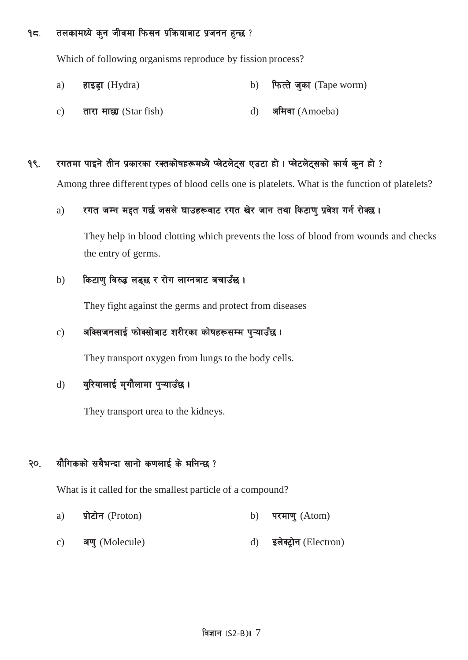**१८. तलकामध्ये कुन जीवमा फिसन प्रक्रियाबाट प्रजनन हुन्छ** ?

Which of following organisms reproduce by fission process?

- a) हाइड़ा (Hydra) b) फित्ते जुका (Tape worm)
- c) तारा माछा (Star fish)  $d$ ) अमिवा (Amoeba)

#### $9$ ९. रगतमा पाइने तीन प्रकारका रक्तकोषहरूमध्ये प्लेटलेट्स एउटा हो। प्लेटलेट्सको कार्य कुन हो ?

Among three different types of blood cells one is platelets. What is the function of platelets?

#### a) स्गत जम्न मद्दत गर्छ जसले घाउहरूबाट रगत खेर जान तथा किटाण प्रवेश गर्न रोक्छ।

They help in blood clotting which prevents the loss of blood from wounds and checks the entry of germs.

#### b) किटाण विरुद्ध लड्छ र रोग लाग्नबाट बचाउँछ।

They fight against the germs and protect from diseases

## $\,$ c) अक्सिजनलाई फोक्सोबाट शरीरका कोषहरूसम्म प्ऱ्याउँछ।

They transport oxygen from lungs to the body cells.

## d) युरियालाई मृगौलामा पुऱ्याउँछ।

They transport urea to the kidneys.

## २०. यौगिकको सबैभन्दा सानो कणलाई के भनिन्छ ?

What is it called for the smallest particle of a compound?

- a) प्रोटोन (Proton) b) परमाणु (Atom)
- c) अणु (Molecule) d) इलेक्ट्रोन (Electron)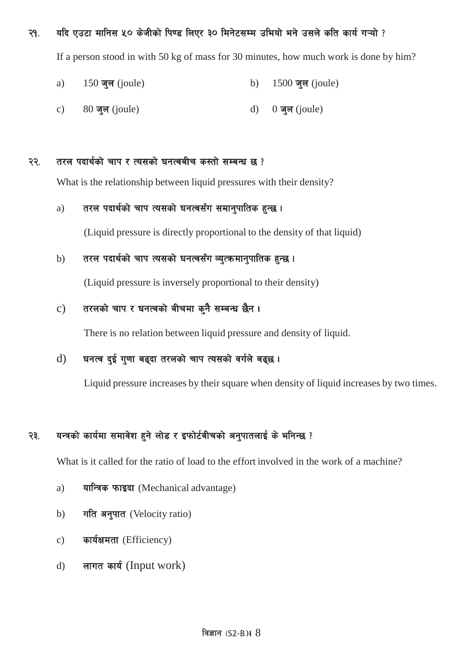२१. यदि एउटा मानिस ५० केजीको पिण्ड लिएर ३० मिनेटसम्म उभियो भने उसले कति कार्य गऱ्यो ?

If a person stood in with 50 kg of mass for 30 minutes, how much work is done by him?

- a) 150 जुल (joule) b) 1500 जुल (joule)
- c)  $80 \overline{q}$ ल (joule) d)  $0 \overline{q}$ ल (joule)

#### २२. तरल पदार्थको चाप र त्यसको घनत्वबीच कस्तो सम्बन्ध छ ?

What is the relationship between liquid pressures with their density?

#### a) तरल पदार्थको चाप त्यसको घनत्वसँग समानुपातिक हुन्छ।

(Liquid pressure is directly proportional to the density of that liquid)

#### b) तरल पदार्थको चाप त्यसको घनत्वसँग व्यत्कमानुपातिक हुन्छ ।

(Liquid pressure is inversely proportional to their density)

## c) तरलको चाप र घनत्वको बीचमा कुनै सम्बन्ध छैन।

There is no relation between liquid pressure and density of liquid.

## $d)$  घनत्व दुई गुणा बढ्दा तरलको चाप त्यसको वर्गले बढ्छ।

Liquid pressure increases by their square when density of liquid increases by two times.

## २३. यन्त्रको कार्यमा समावेश हुने लोड र इफोर्टबीचको अनुपातलाई के भनिन्छ ?

What is it called for the ratio of load to the effort involved in the work of a machine?

- a) यान्त्रिक फाइदा (Mechanical advantage)
- b) गति अनुपात (Velocity ratio)
- c) कार्यक्षमता (Efficiency)
- d) लागत कार्य (Input work)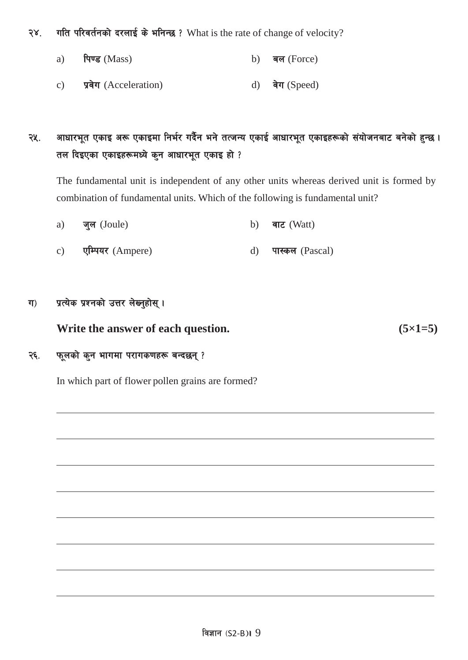२४. गति परिवर्तनको दरलाई के भनिन्छ ? What is the rate of change of velocity?

- a)  $\theta$  (Mass) b)  $\theta$  (Force)
- c) प्रवेग (Acceleration) d) वेग (Speed)

# २५. अाधारभूत एकाइ अरू एकाइमा निर्भर गर्दैन भने तत्जन्य एकाई आधारभूत एकाइहरूको संयोजनबाट बनेको हुन्छ। तल दिइएका एकाइहरूमध्ये कुन आधारभूत एकाइ हो ?

The fundamental unit is independent of any other units whereas derived unit is formed by combination of fundamental units. Which of the following is fundamental unit?

- a) जुल (Joule) b) वाट (Watt)
- c) एम्पियर (Ampere) (a) पास्कल (Pascal)

### ग) प्रत्येक प्रश्नको उत्तर लेख्नुहोस् ।

**Write** the answer of each question. **(5×1=5)** 

### २६. फूलको कुन भागमा परागकणहरू बन्दछन्?

In which part of flower pollen grains are formed?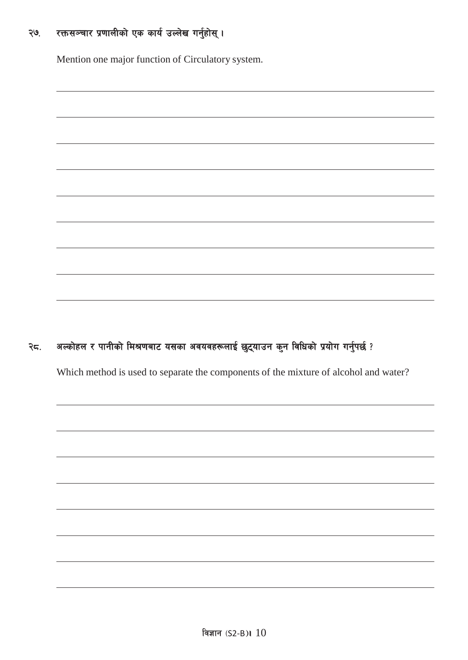#### रक्तसञ्चार प्रणालीको एक कार्य उल्लेख गर्नुहोस् । ২७.

Mention one major function of Circulatory system.

#### अल्कोहल र पानीको मिश्रणबाट यसका अवयवहरूलाई छुट्याउन कुन विधिको प्रयोग गर्नुपर्छ ? २८.

Which method is used to separate the components of the mixture of alcohol and water?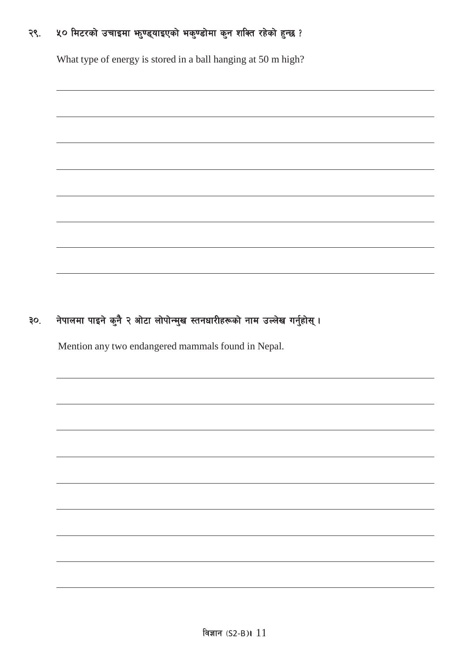#### ५० मिटरको उचाइमा भनुण्ड्याइएको भकुण्डोमा कुन शक्ति रहेको हुन्छ ? २९.

What type of energy is stored in a ball hanging at 50 m high?

#### नेपालमा पाइने कुनै २ ओटा लोपोन्मुख स्तनधारीहरूको नाम उल्लेख गर्नुहोस् । ३०.

Mention any two endangered mammals found in Nepal.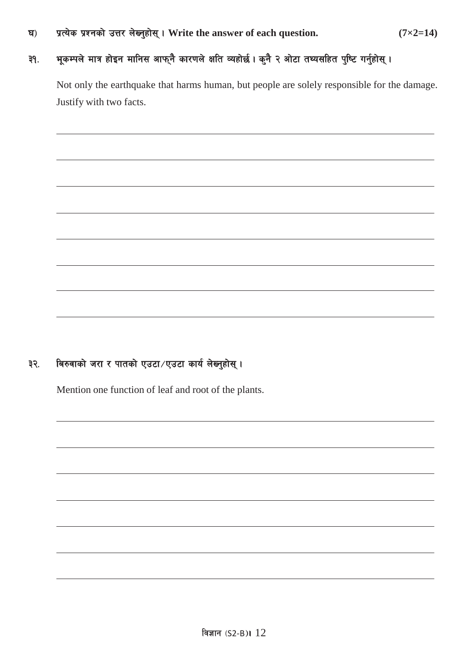3\_ k|To]s k|Zgsf] pQ/ n]Vg'xf];\ . **Write the answer of each question. (7×2=14)**

# ३१. भूकम्पले मात्र होइन मानिस आफ्नै कारणले क्षति व्यहोर्छ। कुनै २ ओटा तथ्यसहित पुष्टि गर्नुहोस्।

Not only the earthquake that harms human, but people are solely responsible for the damage. Justify with two facts.

# ३२. बिरुवाको जरा र पातको एउटा/एउटा कार्य लेख्नुहोस्।

Mention one function of leaf and root of the plants.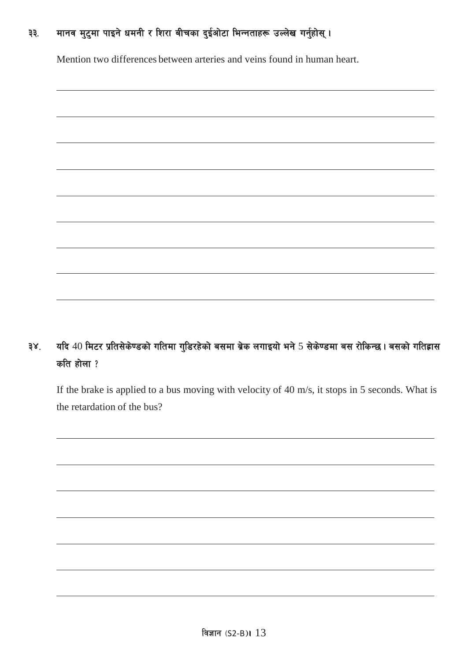# ३३. मानव मुटुमा पाइने धमनी र शिरा बीचका दुईओटा भिन्नताहरू उल्लेख गर्नुहोस् ।

Mention two differences between arteries and veins found in human heart.

# ३४. यदि 40 मिटर प्रतिसेकेण्डको गतिमा गुडिरहेको बसमा ब्रेक लगाइयो भने 5 सेकेण्डमा बस रोकिन्छ। बसको गतिहास कति होला $?$

If the brake is applied to a bus moving with velocity of 40 m/s, it stops in 5 seconds. What is the retardation of the bus?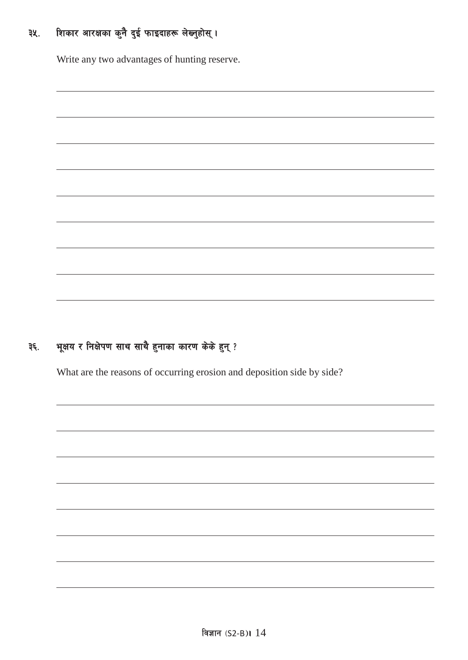#### शिकार आरक्षका कुनै दुई फाइदाहरू लेख्नुहोस् । ३५.

Write any two advantages of hunting reserve.

#### भूक्षय र निक्षेपण साथ साथै हुनाका कारण केके हुन् ? ३६.

What are the reasons of occurring erosion and deposition side by side?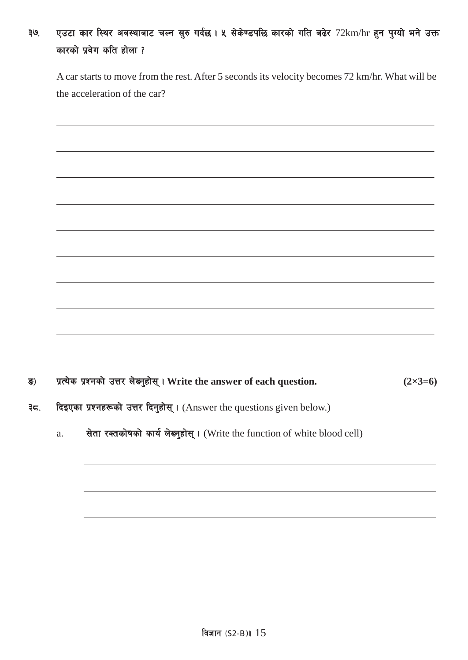# ३७. एउटा कार स्थिर अवस्थाबाट चल्न सुरु गर्दछ। ५ सेकेण्डपछि कारको गति बढेर 72km/hr हुन पुग्यो भने उक्त कारको प्रवेग कति होला ?

A car starts to move from the rest. After 5 seconds its velocity becomes 72 km/hr. What will be the acceleration of the car?

- ª\_ k|To]s k|Zgsf] pQ/ n]Vg'xf];\ . **Write the answer of each question. (2×3=6)**
- ३८. विइएका प्रश्नहरूको उत्तर दिनुहोस् । (Answer the questions given below.)
	- a. सेता रक्तकोषको कार्य लेख्नुहोस् । (Write the function of white blood cell)